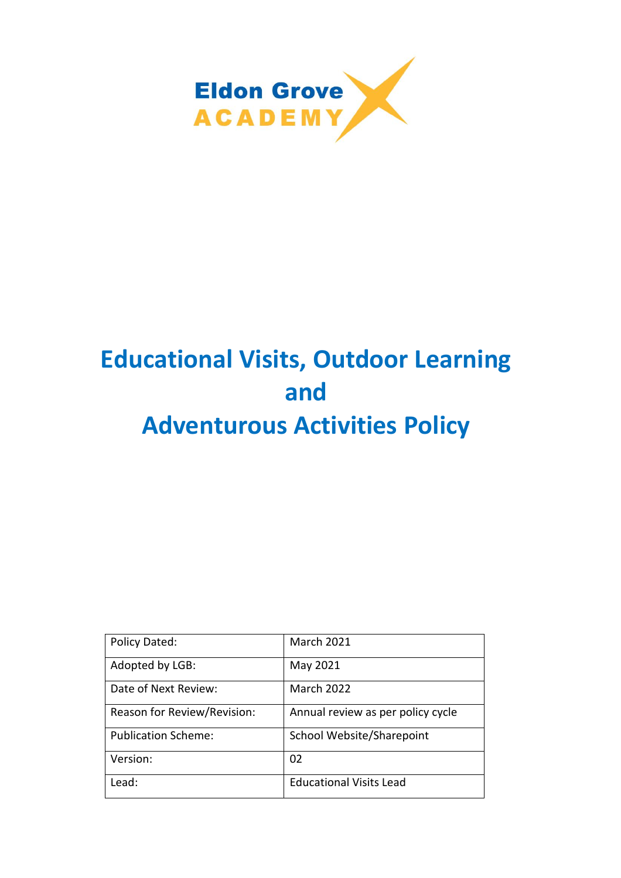

# **Educational Visits, Outdoor Learning and Adventurous Activities Policy**

| Policy Dated:               | <b>March 2021</b>                 |
|-----------------------------|-----------------------------------|
| Adopted by LGB:             | May 2021                          |
| Date of Next Review:        | <b>March 2022</b>                 |
| Reason for Review/Revision: | Annual review as per policy cycle |
| <b>Publication Scheme:</b>  | School Website/Sharepoint         |
| Version:                    | 02                                |
| Lead:                       | <b>Educational Visits Lead</b>    |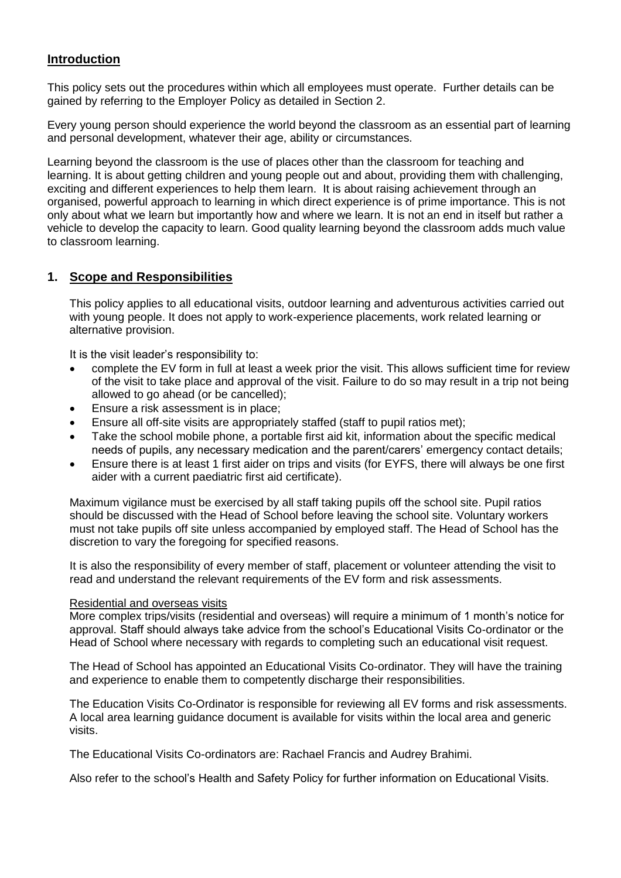# **Introduction**

This policy sets out the procedures within which all employees must operate. Further details can be gained by referring to the Employer Policy as detailed in Section 2.

Every young person should experience the world beyond the classroom as an essential part of learning and personal development, whatever their age, ability or circumstances.

Learning beyond the classroom is the use of places other than the classroom for teaching and learning. It is about getting children and young people out and about, providing them with challenging, exciting and different experiences to help them learn. It is about raising achievement through an organised, powerful approach to learning in which direct experience is of prime importance. This is not only about what we learn but importantly how and where we learn. It is not an end in itself but rather a vehicle to develop the capacity to learn. Good quality learning beyond the classroom adds much value to classroom learning.

## **1. Scope and Responsibilities**

This policy applies to all educational visits, outdoor learning and adventurous activities carried out with young people. It does not apply to work-experience placements, work related learning or alternative provision.

It is the visit leader's responsibility to:

- complete the EV form in full at least a week prior the visit. This allows sufficient time for review of the visit to take place and approval of the visit. Failure to do so may result in a trip not being allowed to go ahead (or be cancelled);
- Ensure a risk assessment is in place;
- Ensure all off-site visits are appropriately staffed (staff to pupil ratios met);
- Take the school mobile phone, a portable first aid kit, information about the specific medical needs of pupils, any necessary medication and the parent/carers' emergency contact details;
- Ensure there is at least 1 first aider on trips and visits (for EYFS, there will always be one first aider with a current paediatric first aid certificate).

Maximum vigilance must be exercised by all staff taking pupils off the school site. Pupil ratios should be discussed with the Head of School before leaving the school site. Voluntary workers must not take pupils off site unless accompanied by employed staff. The Head of School has the discretion to vary the foregoing for specified reasons.

It is also the responsibility of every member of staff, placement or volunteer attending the visit to read and understand the relevant requirements of the EV form and risk assessments.

#### Residential and overseas visits

More complex trips/visits (residential and overseas) will require a minimum of 1 month's notice for approval. Staff should always take advice from the school's Educational Visits Co-ordinator or the Head of School where necessary with regards to completing such an educational visit request.

The Head of School has appointed an Educational Visits Co-ordinator. They will have the training and experience to enable them to competently discharge their responsibilities.

The Education Visits Co-Ordinator is responsible for reviewing all EV forms and risk assessments. A local area learning guidance document is available for visits within the local area and generic visits.

The Educational Visits Co-ordinators are: Rachael Francis and Audrey Brahimi.

Also refer to the school's Health and Safety Policy for further information on Educational Visits.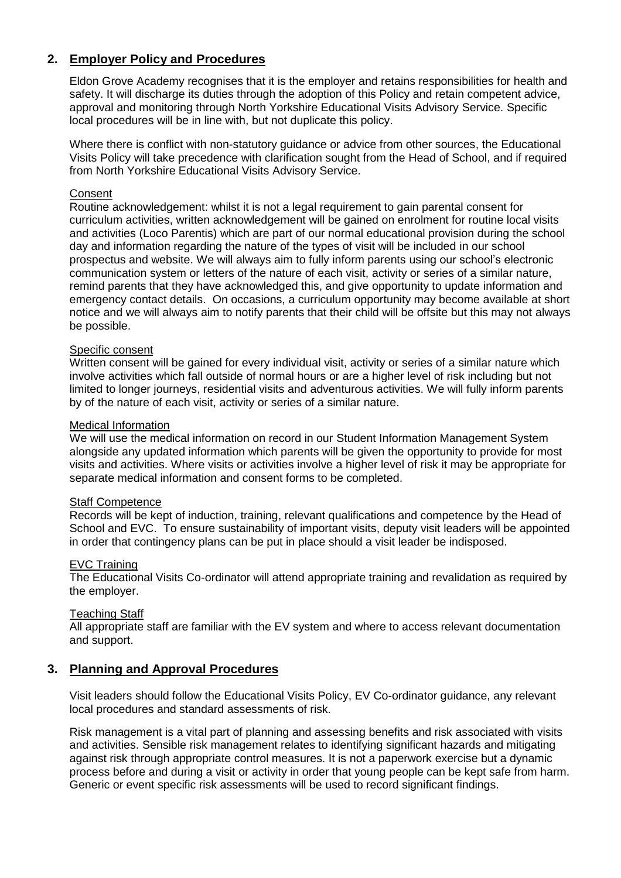# **2. Employer Policy and Procedures**

Eldon Grove Academy recognises that it is the employer and retains responsibilities for health and safety. It will discharge its duties through the adoption of this Policy and retain competent advice, approval and monitoring through North Yorkshire Educational Visits Advisory Service. Specific local procedures will be in line with, but not duplicate this policy.

Where there is conflict with non-statutory guidance or advice from other sources, the Educational Visits Policy will take precedence with clarification sought from the Head of School, and if required from North Yorkshire Educational Visits Advisory Service.

#### **Consent**

Routine acknowledgement: whilst it is not a legal requirement to gain parental consent for curriculum activities, written acknowledgement will be gained on enrolment for routine local visits and activities (Loco Parentis) which are part of our normal educational provision during the school day and information regarding the nature of the types of visit will be included in our school prospectus and website. We will always aim to fully inform parents using our school's electronic communication system or letters of the nature of each visit, activity or series of a similar nature, remind parents that they have acknowledged this, and give opportunity to update information and emergency contact details. On occasions, a curriculum opportunity may become available at short notice and we will always aim to notify parents that their child will be offsite but this may not always be possible.

#### Specific consent

Written consent will be gained for every individual visit, activity or series of a similar nature which involve activities which fall outside of normal hours or are a higher level of risk including but not limited to longer journeys, residential visits and adventurous activities. We will fully inform parents by of the nature of each visit, activity or series of a similar nature.

#### Medical Information

We will use the medical information on record in our Student Information Management System alongside any updated information which parents will be given the opportunity to provide for most visits and activities. Where visits or activities involve a higher level of risk it may be appropriate for separate medical information and consent forms to be completed.

#### Staff Competence

Records will be kept of induction, training, relevant qualifications and competence by the Head of School and EVC. To ensure sustainability of important visits, deputy visit leaders will be appointed in order that contingency plans can be put in place should a visit leader be indisposed.

#### EVC Training

The Educational Visits Co-ordinator will attend appropriate training and revalidation as required by the employer.

#### Teaching Staff

All appropriate staff are familiar with the EV system and where to access relevant documentation and support.

#### **3. Planning and Approval Procedures**

Visit leaders should follow the Educational Visits Policy, EV Co-ordinator guidance, any relevant local procedures and standard assessments of risk.

Risk management is a vital part of planning and assessing benefits and risk associated with visits and activities. Sensible risk management relates to identifying significant hazards and mitigating against risk through appropriate control measures. It is not a paperwork exercise but a dynamic process before and during a visit or activity in order that young people can be kept safe from harm. Generic or event specific risk assessments will be used to record significant findings.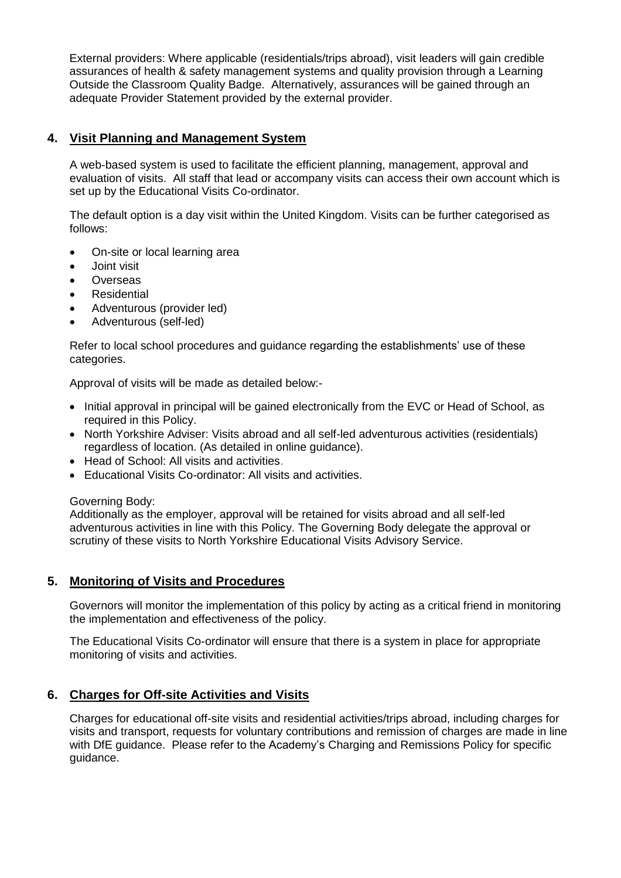External providers: Where applicable (residentials/trips abroad), visit leaders will gain credible assurances of health & safety management systems and quality provision through a Learning Outside the Classroom Quality Badge. Alternatively, assurances will be gained through an adequate Provider Statement provided by the external provider.

# **4. Visit Planning and Management System**

A web-based system is used to facilitate the efficient planning, management, approval and evaluation of visits. All staff that lead or accompany visits can access their own account which is set up by the Educational Visits Co-ordinator.

The default option is a day visit within the United Kingdom. Visits can be further categorised as follows:

- On-site or local learning area
- Joint visit
- **Overseas**
- Residential
- Adventurous (provider led)
- Adventurous (self-led)

Refer to local school procedures and guidance regarding the establishments' use of these categories.

Approval of visits will be made as detailed below:-

- Initial approval in principal will be gained electronically from the EVC or Head of School, as required in this Policy.
- North Yorkshire Adviser: Visits abroad and all self-led adventurous activities (residentials) regardless of location. (As detailed in online guidance).
- Head of School: All visits and activities.
- Educational Visits Co-ordinator: All visits and activities.

## Governing Body:

Additionally as the employer, approval will be retained for visits abroad and all self-led adventurous activities in line with this Policy. The Governing Body delegate the approval or scrutiny of these visits to North Yorkshire Educational Visits Advisory Service.

# **5. Monitoring of Visits and Procedures**

Governors will monitor the implementation of this policy by acting as a critical friend in monitoring the implementation and effectiveness of the policy.

The Educational Visits Co-ordinator will ensure that there is a system in place for appropriate monitoring of visits and activities.

# **6. Charges for Off-site Activities and Visits**

Charges for educational off-site visits and residential activities/trips abroad, including charges for visits and transport, requests for voluntary contributions and remission of charges are made in line with DfE guidance. Please refer to the Academy's Charging and Remissions Policy for specific guidance.